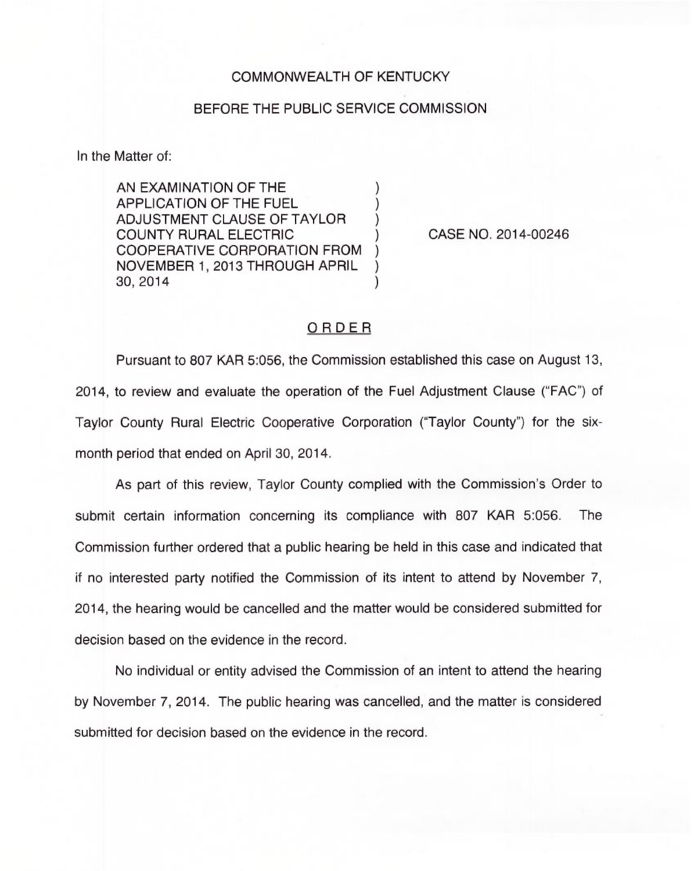## COMMONWEALTH OF KENTUCKY

## BEFORE THE PUBLIC SERVICE COMMISSION

In the Matter of:

AN EXAMINATION OF THE ) APPLICATION OF THE FUEL ) ADJUSTMENT CLAUSE OF TAYLOR ) COUNTY RURAL ELECTRIC ) COOPERATIVE CORPORATION FROM ) NOVEMBER 1, 2013 THROUGH APRIL ) 30, 2014 )

CASE NO. 2014-00246

## ORDER

Pursuant to 807 KAR 5:056, the Commission established this case on August 13, 2014, to review and evaluate the operation of the Fuel Adjustment Clause ("FAC") of Taylor County Rural Electric Cooperative Corporation ("Taylor County") for the sixmonth period that ended on April 30, 2014.

As part of this review, Taylor County complied with the Commission's Order to submit certain information concerning its compliance with 807 KAR 5:056. The Commission further ordered that a public hearing be held in this case and indicated that if no interested party notified the Commission of its intent to attend by November 7, 2014, the hearing would be cancelled and the matter would be considered submitted for decision based on the evidence in the record.

No individual or entity advised the Commission of an intent to attend the hearing by November 7, 2014. The public hearing was cancelled, and the matter is considered submitted for decision based on the evidence in the record.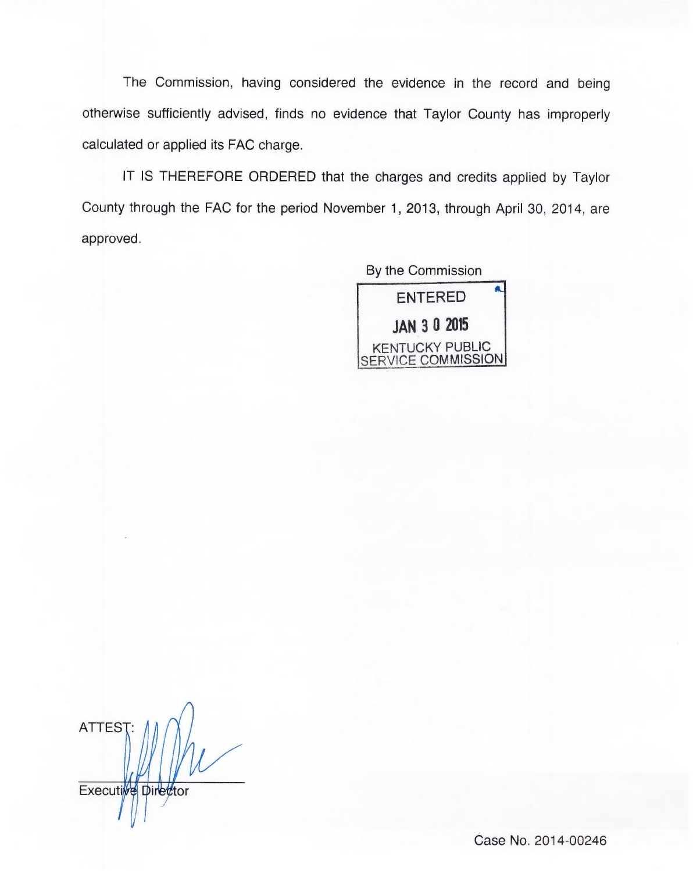The Commission, having considered the evidence in the record and being otherwise sufficiently advised, finds no evidence that Taylor County has improperly calculated or applied its FAC charge.

IT IS THEREFORE ORDERED that the charges and credits applied by Taylor County through the FAC for the period November 1, 2013, through April 30, 2014, are approved.

> By the Commission ENTERED JAN 3 0 2015 KENTUCKY PUBLIC SERVICE COMMISSION

ATTES Executive Director

Case No. 2014-00246